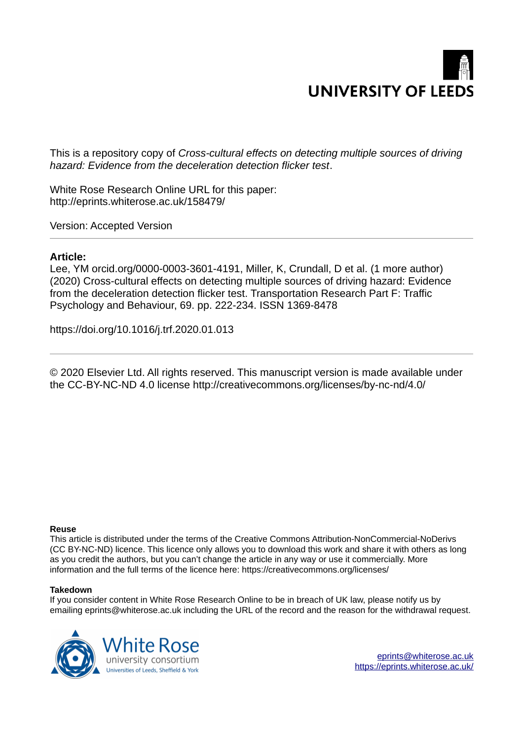

This is a repository copy of *Cross-cultural effects on detecting multiple sources of driving hazard: Evidence from the deceleration detection flicker test*.

White Rose Research Online URL for this paper: http://eprints.whiterose.ac.uk/158479/

Version: Accepted Version

# **Article:**

Lee, YM orcid.org/0000-0003-3601-4191, Miller, K, Crundall, D et al. (1 more author) (2020) Cross-cultural effects on detecting multiple sources of driving hazard: Evidence from the deceleration detection flicker test. Transportation Research Part F: Traffic Psychology and Behaviour, 69. pp. 222-234. ISSN 1369-8478

https://doi.org/10.1016/j.trf.2020.01.013

© 2020 Elsevier Ltd. All rights reserved. This manuscript version is made available under the CC-BY-NC-ND 4.0 license http://creativecommons.org/licenses/by-nc-nd/4.0/

### **Reuse**

This article is distributed under the terms of the Creative Commons Attribution-NonCommercial-NoDerivs (CC BY-NC-ND) licence. This licence only allows you to download this work and share it with others as long as you credit the authors, but you can't change the article in any way or use it commercially. More information and the full terms of the licence here: https://creativecommons.org/licenses/

### **Takedown**

If you consider content in White Rose Research Online to be in breach of UK law, please notify us by emailing eprints@whiterose.ac.uk including the URL of the record and the reason for the withdrawal request.



eprints@whiterose.ac.uk https://eprints.whiterose.ac.uk/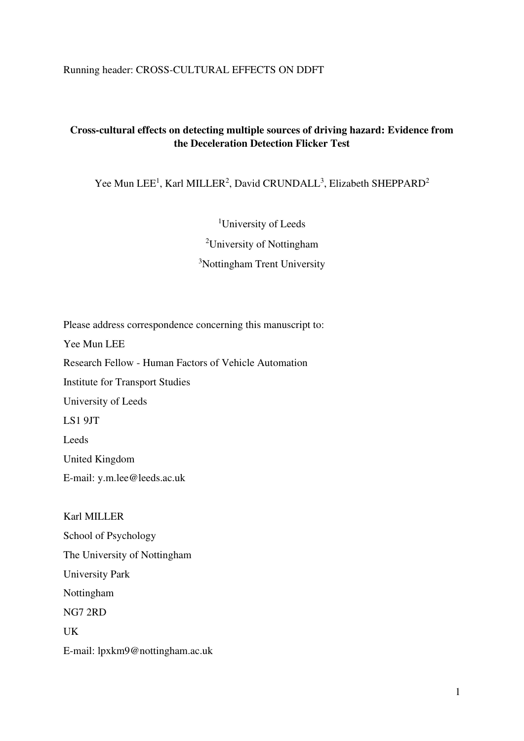# Running header: CROSS-CULTURAL EFFECTS ON DDFT

# **Cross-cultural effects on detecting multiple sources of driving hazard: Evidence from the Deceleration Detection Flicker Test**

Yee Mun LEE<sup>1</sup>, Karl MILLER<sup>2</sup>, David CRUNDALL<sup>3</sup>, Elizabeth SHEPPARD<sup>2</sup>

<sup>1</sup>University of Leeds

<sup>2</sup>University of Nottingham

<sup>3</sup>Nottingham Trent University

Please address correspondence concerning this manuscript to: Yee Mun LEE Research Fellow - Human Factors of Vehicle Automation Institute for Transport Studies University of Leeds LS1 9JT Leeds United Kingdom E-mail: y.m.lee@leeds.ac.uk

Karl MILLER School of Psychology The University of Nottingham University Park Nottingham NG7 2RD UK E-mail: lpxkm9@nottingham.ac.uk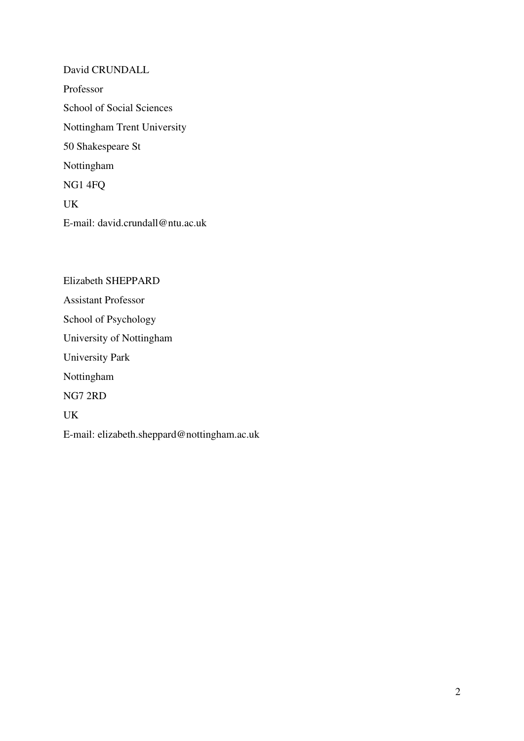David CRUNDALL Professor School of Social Sciences Nottingham Trent University 50 Shakespeare St Nottingham NG1 4FQ UK E-mail: david.crundall@ntu.ac.uk

Elizabeth SHEPPARD Assistant Professor School of Psychology University of Nottingham University Park Nottingham NG7 2RD UK E-mail: elizabeth.sheppard@nottingham.ac.uk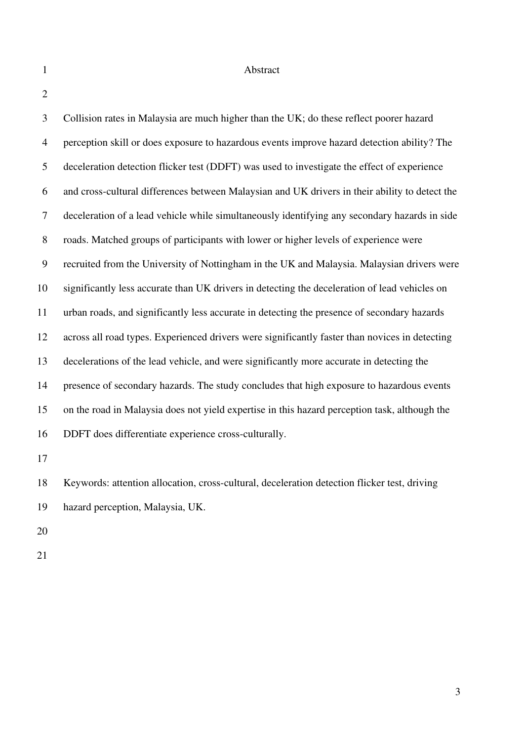### 1 Abstract

2

3 Collision rates in Malaysia are much higher than the UK; do these reflect poorer hazard 4 perception skill or does exposure to hazardous events improve hazard detection ability? The 5 deceleration detection flicker test (DDFT) was used to investigate the effect of experience 6 and cross-cultural differences between Malaysian and UK drivers in their ability to detect the 7 deceleration of a lead vehicle while simultaneously identifying any secondary hazards in side 8 roads. Matched groups of participants with lower or higher levels of experience were 9 recruited from the University of Nottingham in the UK and Malaysia. Malaysian drivers were 10 significantly less accurate than UK drivers in detecting the deceleration of lead vehicles on 11 urban roads, and significantly less accurate in detecting the presence of secondary hazards 12 across all road types. Experienced drivers were significantly faster than novices in detecting 13 decelerations of the lead vehicle, and were significantly more accurate in detecting the 14 presence of secondary hazards. The study concludes that high exposure to hazardous events 15 on the road in Malaysia does not yield expertise in this hazard perception task, although the 16 DDFT does differentiate experience cross-culturally. 17

18 Keywords: attention allocation, cross-cultural, deceleration detection flicker test, driving 19 hazard perception, Malaysia, UK.

20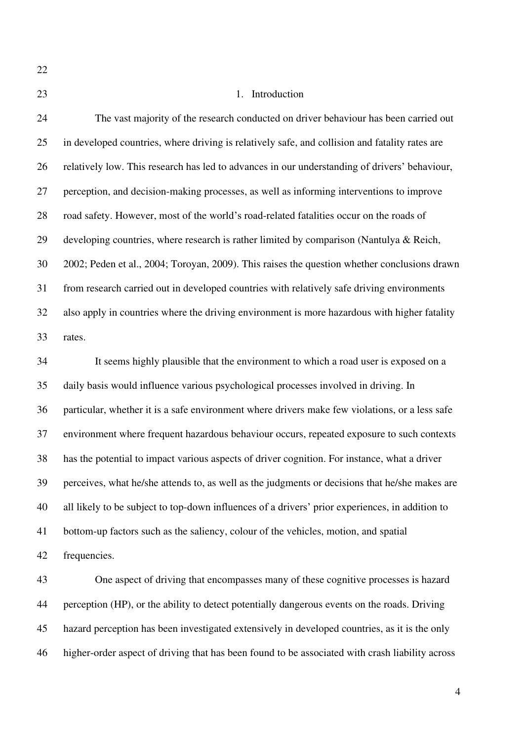# 23 1. Introduction

24 The vast majority of the research conducted on driver behaviour has been carried out 25 in developed countries, where driving is relatively safe, and collision and fatality rates are 26 relatively low. This research has led to advances in our understanding of drivers' behaviour, 27 perception, and decision-making processes, as well as informing interventions to improve 28 road safety. However, most of the world's road-related fatalities occur on the roads of 29 developing countries, where research is rather limited by comparison (Nantulya & Reich, 30 2002; Peden et al., 2004; Toroyan, 2009). This raises the question whether conclusions drawn 31 from research carried out in developed countries with relatively safe driving environments 32 also apply in countries where the driving environment is more hazardous with higher fatality 33 rates.

34 It seems highly plausible that the environment to which a road user is exposed on a 35 daily basis would influence various psychological processes involved in driving. In 36 particular, whether it is a safe environment where drivers make few violations, or a less safe 37 environment where frequent hazardous behaviour occurs, repeated exposure to such contexts 38 has the potential to impact various aspects of driver cognition. For instance, what a driver 39 perceives, what he/she attends to, as well as the judgments or decisions that he/she makes are 40 all likely to be subject to top-down influences of a drivers' prior experiences, in addition to 41 bottom-up factors such as the saliency, colour of the vehicles, motion, and spatial 42 frequencies.

43 One aspect of driving that encompasses many of these cognitive processes is hazard 44 perception (HP), or the ability to detect potentially dangerous events on the roads. Driving 45 hazard perception has been investigated extensively in developed countries, as it is the only 46 higher-order aspect of driving that has been found to be associated with crash liability across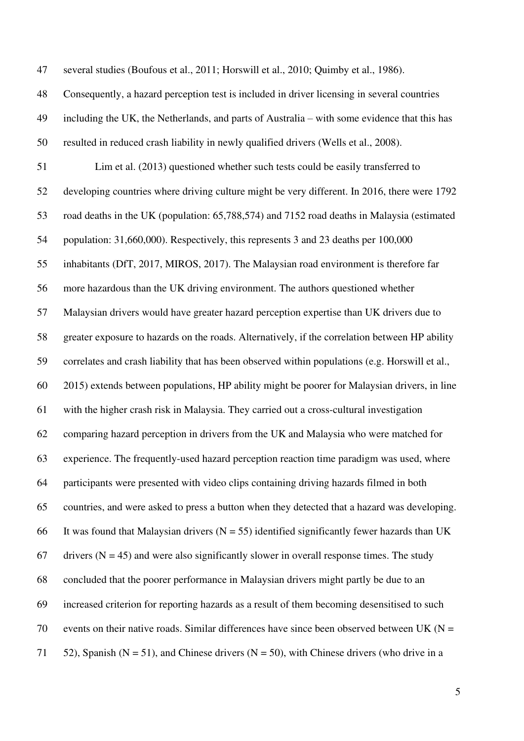47 several studies (Boufous et al., 2011; Horswill et al., 2010; Quimby et al., 1986).

- 48 Consequently, a hazard perception test is included in driver licensing in several countries
- 49 including the UK, the Netherlands, and parts of Australia with some evidence that this has 50 resulted in reduced crash liability in newly qualified drivers (Wells et al., 2008).

51 Lim et al. (2013) questioned whether such tests could be easily transferred to 52 developing countries where driving culture might be very different. In 2016, there were 1792 53 road deaths in the UK (population: 65,788,574) and 7152 road deaths in Malaysia (estimated 54 population: 31,660,000). Respectively, this represents 3 and 23 deaths per 100,000 55 inhabitants (DfT, 2017, MIROS, 2017). The Malaysian road environment is therefore far 56 more hazardous than the UK driving environment. The authors questioned whether 57 Malaysian drivers would have greater hazard perception expertise than UK drivers due to 58 greater exposure to hazards on the roads. Alternatively, if the correlation between HP ability 59 correlates and crash liability that has been observed within populations (e.g. Horswill et al., 60 2015) extends between populations, HP ability might be poorer for Malaysian drivers, in line 61 with the higher crash risk in Malaysia. They carried out a cross-cultural investigation 62 comparing hazard perception in drivers from the UK and Malaysia who were matched for 63 experience. The frequently-used hazard perception reaction time paradigm was used, where 64 participants were presented with video clips containing driving hazards filmed in both 65 countries, and were asked to press a button when they detected that a hazard was developing. 66 It was found that Malaysian drivers  $(N = 55)$  identified significantly fewer hazards than UK 67 drivers ( $N = 45$ ) and were also significantly slower in overall response times. The study 68 concluded that the poorer performance in Malaysian drivers might partly be due to an 69 increased criterion for reporting hazards as a result of them becoming desensitised to such 70 events on their native roads. Similar differences have since been observed between UK ( $N =$ 71 52), Spanish ( $N = 51$ ), and Chinese drivers ( $N = 50$ ), with Chinese drivers (who drive in a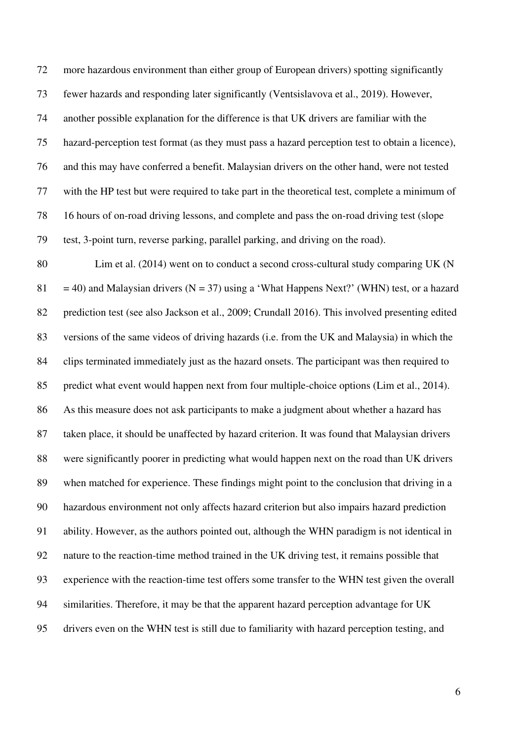72 more hazardous environment than either group of European drivers) spotting significantly 73 fewer hazards and responding later significantly (Ventsislavova et al., 2019). However, 74 another possible explanation for the difference is that UK drivers are familiar with the 75 hazard-perception test format (as they must pass a hazard perception test to obtain a licence), 76 and this may have conferred a benefit. Malaysian drivers on the other hand, were not tested 77 with the HP test but were required to take part in the theoretical test, complete a minimum of 78 16 hours of on-road driving lessons, and complete and pass the on-road driving test (slope 79 test, 3-point turn, reverse parking, parallel parking, and driving on the road).

80 Lim et al. (2014) went on to conduct a second cross-cultural study comparing UK (N 81 = 40) and Malaysian drivers (N = 37) using a 'What Happens Next?' (WHN) test, or a hazard 82 prediction test (see also Jackson et al., 2009; Crundall 2016). This involved presenting edited 83 versions of the same videos of driving hazards (i.e. from the UK and Malaysia) in which the 84 clips terminated immediately just as the hazard onsets. The participant was then required to 85 predict what event would happen next from four multiple-choice options (Lim et al., 2014). 86 As this measure does not ask participants to make a judgment about whether a hazard has 87 taken place, it should be unaffected by hazard criterion. It was found that Malaysian drivers 88 were significantly poorer in predicting what would happen next on the road than UK drivers 89 when matched for experience. These findings might point to the conclusion that driving in a 90 hazardous environment not only affects hazard criterion but also impairs hazard prediction 91 ability. However, as the authors pointed out, although the WHN paradigm is not identical in 92 nature to the reaction-time method trained in the UK driving test, it remains possible that 93 experience with the reaction-time test offers some transfer to the WHN test given the overall 94 similarities. Therefore, it may be that the apparent hazard perception advantage for UK 95 drivers even on the WHN test is still due to familiarity with hazard perception testing, and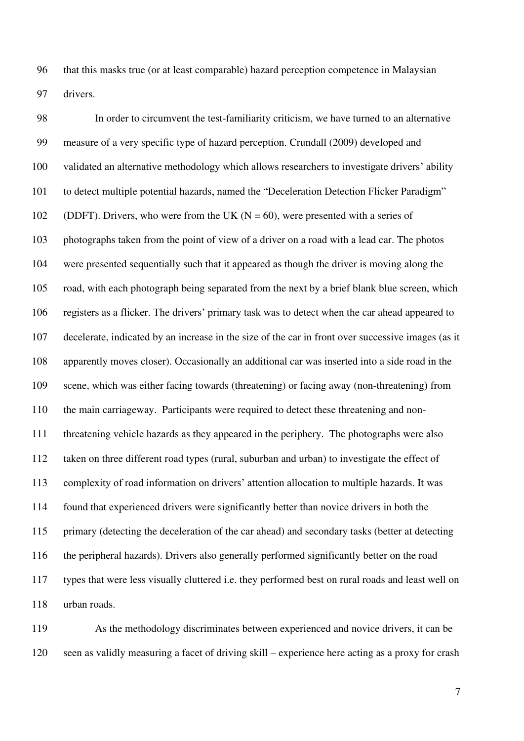96 that this masks true (or at least comparable) hazard perception competence in Malaysian 97 drivers.

98 In order to circumvent the test-familiarity criticism, we have turned to an alternative 99 measure of a very specific type of hazard perception. Crundall (2009) developed and 100 validated an alternative methodology which allows researchers to investigate drivers' ability 101 to detect multiple potential hazards, named the "Deceleration Detection Flicker Paradigm" 102 (DDFT). Drivers, who were from the UK ( $N = 60$ ), were presented with a series of 103 photographs taken from the point of view of a driver on a road with a lead car. The photos 104 were presented sequentially such that it appeared as though the driver is moving along the 105 road, with each photograph being separated from the next by a brief blank blue screen, which 106 registers as a flicker. The drivers' primary task was to detect when the car ahead appeared to 107 decelerate, indicated by an increase in the size of the car in front over successive images (as it 108 apparently moves closer). Occasionally an additional car was inserted into a side road in the 109 scene, which was either facing towards (threatening) or facing away (non-threatening) from 110 the main carriageway. Participants were required to detect these threatening and non-111 threatening vehicle hazards as they appeared in the periphery. The photographs were also 112 taken on three different road types (rural, suburban and urban) to investigate the effect of 113 complexity of road information on drivers' attention allocation to multiple hazards. It was 114 found that experienced drivers were significantly better than novice drivers in both the 115 primary (detecting the deceleration of the car ahead) and secondary tasks (better at detecting 116 the peripheral hazards). Drivers also generally performed significantly better on the road 117 types that were less visually cluttered i.e. they performed best on rural roads and least well on 118 urban roads.

119 As the methodology discriminates between experienced and novice drivers, it can be 120 seen as validly measuring a facet of driving skill – experience here acting as a proxy for crash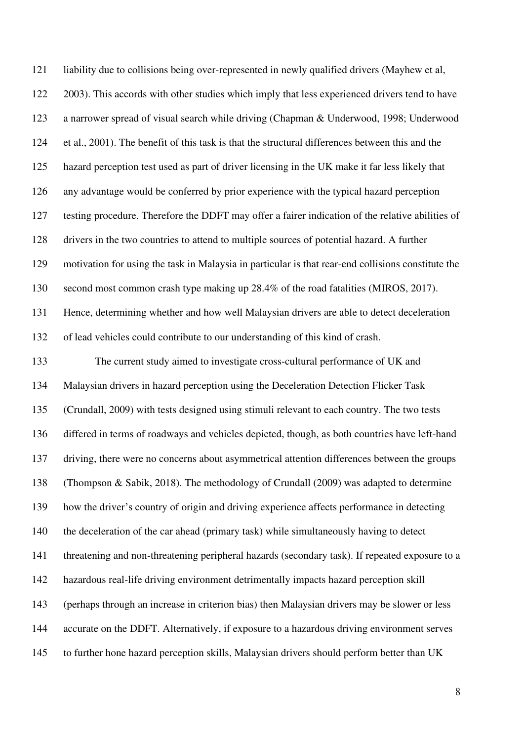121 liability due to collisions being over-represented in newly qualified drivers (Mayhew et al, 122 2003). This accords with other studies which imply that less experienced drivers tend to have 123 a narrower spread of visual search while driving (Chapman & Underwood, 1998; Underwood 124 et al., 2001). The benefit of this task is that the structural differences between this and the 125 hazard perception test used as part of driver licensing in the UK make it far less likely that 126 any advantage would be conferred by prior experience with the typical hazard perception 127 testing procedure. Therefore the DDFT may offer a fairer indication of the relative abilities of 128 drivers in the two countries to attend to multiple sources of potential hazard. A further 129 motivation for using the task in Malaysia in particular is that rear-end collisions constitute the 130 second most common crash type making up 28.4% of the road fatalities (MIROS, 2017). 131 Hence, determining whether and how well Malaysian drivers are able to detect deceleration 132 of lead vehicles could contribute to our understanding of this kind of crash. 133 The current study aimed to investigate cross-cultural performance of UK and 134 Malaysian drivers in hazard perception using the Deceleration Detection Flicker Task 135 (Crundall, 2009) with tests designed using stimuli relevant to each country. The two tests 136 differed in terms of roadways and vehicles depicted, though, as both countries have left-hand 137 driving, there were no concerns about asymmetrical attention differences between the groups 138 (Thompson & Sabik, 2018). The methodology of Crundall (2009) was adapted to determine 139 how the driver's country of origin and driving experience affects performance in detecting 140 the deceleration of the car ahead (primary task) while simultaneously having to detect 141 threatening and non-threatening peripheral hazards (secondary task). If repeated exposure to a 142 hazardous real-life driving environment detrimentally impacts hazard perception skill 143 (perhaps through an increase in criterion bias) then Malaysian drivers may be slower or less 144 accurate on the DDFT. Alternatively, if exposure to a hazardous driving environment serves 145 to further hone hazard perception skills, Malaysian drivers should perform better than UK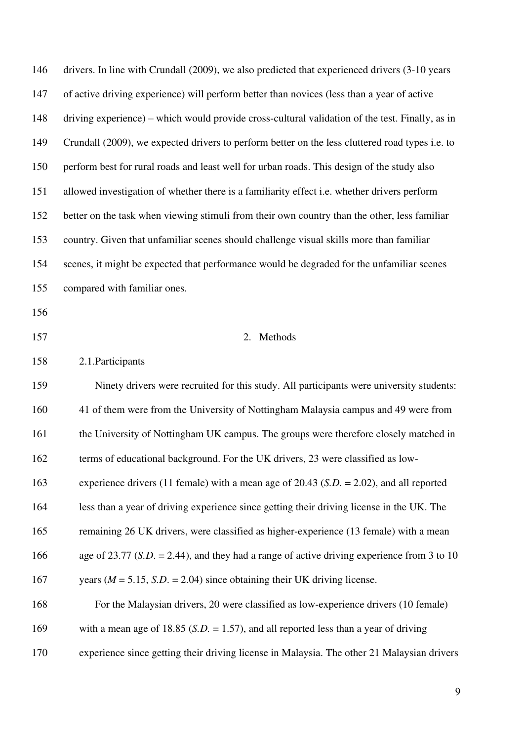| 146 | drivers. In line with Crundall (2009), we also predicted that experienced drivers (3-10 years   |
|-----|-------------------------------------------------------------------------------------------------|
| 147 | of active driving experience) will perform better than novices (less than a year of active      |
| 148 | driving experience) – which would provide cross-cultural validation of the test. Finally, as in |
| 149 | Crundall (2009), we expected drivers to perform better on the less cluttered road types i.e. to |
| 150 | perform best for rural roads and least well for urban roads. This design of the study also      |
| 151 | allowed investigation of whether there is a familiarity effect i.e. whether drivers perform     |
| 152 | better on the task when viewing stimuli from their own country than the other, less familiar    |
| 153 | country. Given that unfamiliar scenes should challenge visual skills more than familiar         |
| 154 | scenes, it might be expected that performance would be degraded for the unfamiliar scenes       |
| 155 | compared with familiar ones.                                                                    |
| 156 |                                                                                                 |
| 157 | 2. Methods                                                                                      |
| 158 | 2.1. Participants                                                                               |
| 159 | Ninety drivers were recruited for this study. All participants were university students:        |
| 160 | 41 of them were from the University of Nottingham Malaysia campus and 49 were from              |
| 161 | the University of Nottingham UK campus. The groups were therefore closely matched in            |
|     |                                                                                                 |
| 162 | terms of educational background. For the UK drivers, 23 were classified as low-                 |
| 163 | experience drivers (11 female) with a mean age of 20.43 ( $S.D. = 2.02$ ), and all reported     |
| 164 | less than a year of driving experience since getting their driving license in the UK. The       |
| 165 | remaining 26 UK drivers, were classified as higher-experience (13 female) with a mean           |
| 166 | age of 23.77 (S.D. = 2.44), and they had a range of active driving experience from 3 to 10      |
| 167 | years ( $M = 5.15$ , S.D. = 2.04) since obtaining their UK driving license.                     |
| 168 | For the Malaysian drivers, 20 were classified as low-experience drivers (10 female)             |
| 169 | with a mean age of 18.85 (S.D. = 1.57), and all reported less than a year of driving            |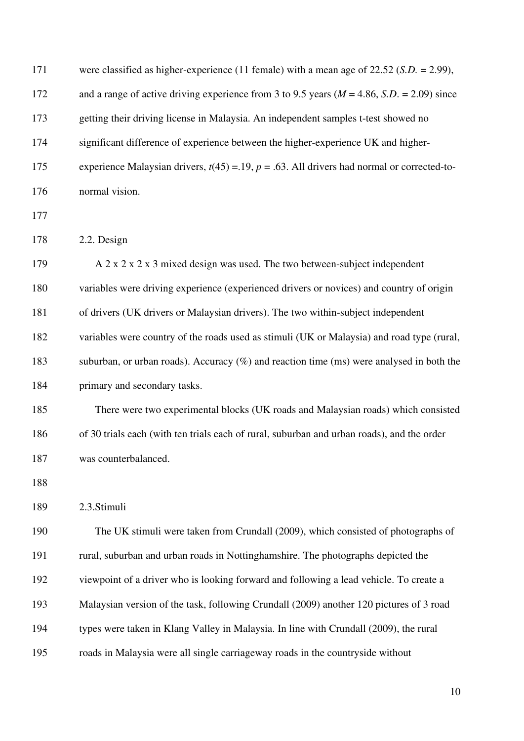| 171 | were classified as higher-experience (11 female) with a mean age of $22.52$ (S.D. = 2.99),          |
|-----|-----------------------------------------------------------------------------------------------------|
| 172 | and a range of active driving experience from 3 to 9.5 years ( $M = 4.86$ , S.D. = 2.09) since      |
| 173 | getting their driving license in Malaysia. An independent samples t-test showed no                  |
| 174 | significant difference of experience between the higher-experience UK and higher-                   |
| 175 | experience Malaysian drivers, $t(45) = 0.19$ , $p = 0.63$ . All drivers had normal or corrected-to- |
| 176 | normal vision.                                                                                      |
| 177 |                                                                                                     |
| 178 | 2.2. Design                                                                                         |
| 179 | A 2 x 2 x 2 x 3 mixed design was used. The two between-subject independent                          |
| 180 | variables were driving experience (experienced drivers or novices) and country of origin            |
| 181 | of drivers (UK drivers or Malaysian drivers). The two within-subject independent                    |
| 182 | variables were country of the roads used as stimuli (UK or Malaysia) and road type (rural,          |
| 183 | suburban, or urban roads). Accuracy $(\%)$ and reaction time (ms) were analysed in both the         |
| 184 | primary and secondary tasks.                                                                        |
| 185 | There were two experimental blocks (UK roads and Malaysian roads) which consisted                   |
| 186 | of 30 trials each (with ten trials each of rural, suburban and urban roads), and the order          |
| 187 | was counterbalanced.                                                                                |
| 188 |                                                                                                     |
| 189 | 2.3.Stimuli                                                                                         |
| 190 | The UK stimuli were taken from Crundall (2009), which consisted of photographs of                   |
| 191 | rural, suburban and urban roads in Nottinghamshire. The photographs depicted the                    |
| 192 | viewpoint of a driver who is looking forward and following a lead vehicle. To create a              |
| 193 | Malaysian version of the task, following Crundall (2009) another 120 pictures of 3 road             |
| 194 | types were taken in Klang Valley in Malaysia. In line with Crundall (2009), the rural               |
| 195 | roads in Malaysia were all single carriageway roads in the countryside without                      |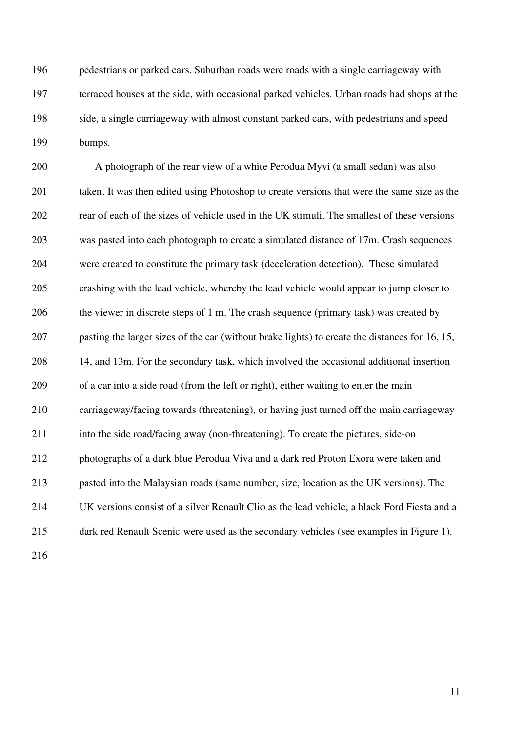196 pedestrians or parked cars. Suburban roads were roads with a single carriageway with 197 terraced houses at the side, with occasional parked vehicles. Urban roads had shops at the 198 side, a single carriageway with almost constant parked cars, with pedestrians and speed 199 bumps.

200 A photograph of the rear view of a white Perodua Myvi (a small sedan) was also 201 taken. It was then edited using Photoshop to create versions that were the same size as the 202 rear of each of the sizes of vehicle used in the UK stimuli. The smallest of these versions 203 was pasted into each photograph to create a simulated distance of 17m. Crash sequences 204 were created to constitute the primary task (deceleration detection). These simulated 205 crashing with the lead vehicle, whereby the lead vehicle would appear to jump closer to 206 the viewer in discrete steps of 1 m. The crash sequence (primary task) was created by 207 pasting the larger sizes of the car (without brake lights) to create the distances for 16, 15, 208 14, and 13m. For the secondary task, which involved the occasional additional insertion 209 of a car into a side road (from the left or right), either waiting to enter the main 210 carriageway/facing towards (threatening), or having just turned off the main carriageway 211 into the side road/facing away (non-threatening). To create the pictures, side-on 212 photographs of a dark blue Perodua Viva and a dark red Proton Exora were taken and 213 pasted into the Malaysian roads (same number, size, location as the UK versions). The 214 UK versions consist of a silver Renault Clio as the lead vehicle, a black Ford Fiesta and a 215 dark red Renault Scenic were used as the secondary vehicles (see examples in Figure 1).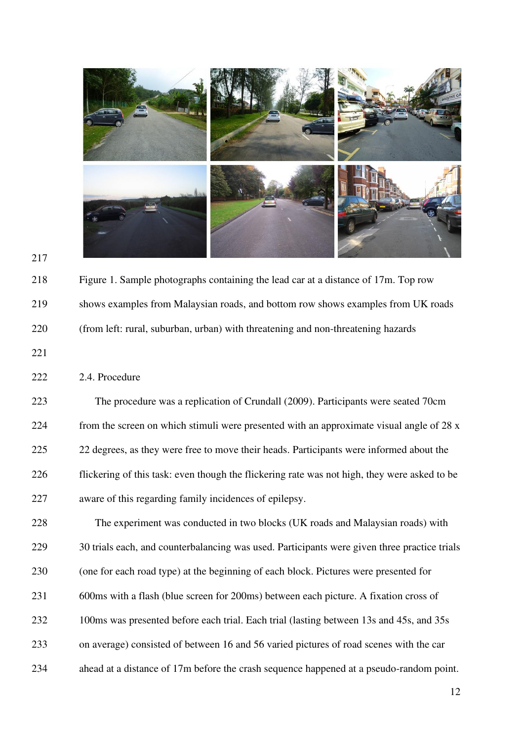

217

218 Figure 1. Sample photographs containing the lead car at a distance of 17m. Top row 219 shows examples from Malaysian roads, and bottom row shows examples from UK roads 220 (from left: rural, suburban, urban) with threatening and non-threatening hazards

222 2.4. Procedure

223 The procedure was a replication of Crundall (2009). Participants were seated 70cm 224 from the screen on which stimuli were presented with an approximate visual angle of 28 x 225 22 degrees, as they were free to move their heads. Participants were informed about the 226 flickering of this task: even though the flickering rate was not high, they were asked to be 227 aware of this regarding family incidences of epilepsy.

228 The experiment was conducted in two blocks (UK roads and Malaysian roads) with 229 30 trials each, and counterbalancing was used. Participants were given three practice trials 230 (one for each road type) at the beginning of each block. Pictures were presented for 231 600ms with a flash (blue screen for 200ms) between each picture. A fixation cross of 232 100ms was presented before each trial. Each trial (lasting between 13s and 45s, and 35s 233 on average) consisted of between 16 and 56 varied pictures of road scenes with the car 234 ahead at a distance of 17m before the crash sequence happened at a pseudo-random point.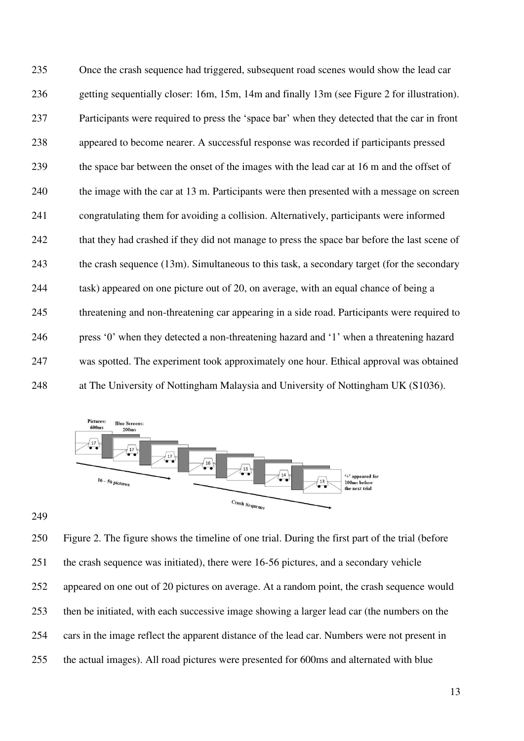235 Once the crash sequence had triggered, subsequent road scenes would show the lead car 236 getting sequentially closer: 16m, 15m, 14m and finally 13m (see Figure 2 for illustration). 237 Participants were required to press the 'space bar' when they detected that the car in front 238 appeared to become nearer. A successful response was recorded if participants pressed 239 the space bar between the onset of the images with the lead car at 16 m and the offset of 240 the image with the car at 13 m. Participants were then presented with a message on screen 241 congratulating them for avoiding a collision. Alternatively, participants were informed 242 that they had crashed if they did not manage to press the space bar before the last scene of 243 the crash sequence (13m). Simultaneous to this task, a secondary target (for the secondary 244 task) appeared on one picture out of 20, on average, with an equal chance of being a 245 threatening and non-threatening car appearing in a side road. Participants were required to 246 press '0' when they detected a non-threatening hazard and '1' when a threatening hazard 247 was spotted. The experiment took approximately one hour. Ethical approval was obtained 248 at The University of Nottingham Malaysia and University of Nottingham UK (S1036).



249

250 Figure 2. The figure shows the timeline of one trial. During the first part of the trial (before 251 the crash sequence was initiated), there were 16-56 pictures, and a secondary vehicle 252 appeared on one out of 20 pictures on average. At a random point, the crash sequence would 253 then be initiated, with each successive image showing a larger lead car (the numbers on the 254 cars in the image reflect the apparent distance of the lead car. Numbers were not present in 255 the actual images). All road pictures were presented for 600ms and alternated with blue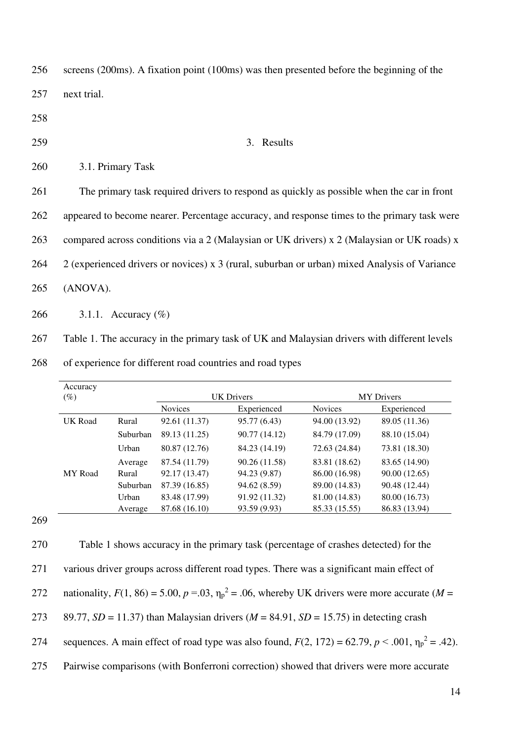256 screens (200ms). A fixation point (100ms) was then presented before the beginning of the 257 next trial.

- 258
- 

### 259 3. Results

| 260 | 3.1. Primary Task |
|-----|-------------------|
|-----|-------------------|

261 The primary task required drivers to respond as quickly as possible when the car in front

262 appeared to become nearer. Percentage accuracy, and response times to the primary task were

263 compared across conditions via a 2 (Malaysian or UK drivers) x 2 (Malaysian or UK roads) x

264 2 (experienced drivers or novices) x 3 (rural, suburban or urban) mixed Analysis of Variance

265 (ANOVA).

266 3.1.1. Accuracy (%)

267 Table 1. The accuracy in the primary task of UK and Malaysian drivers with different levels

268 of experience for different road countries and road types

| Accuracy |          |                |                   |                |                   |  |
|----------|----------|----------------|-------------------|----------------|-------------------|--|
| $(\%)$   |          |                | <b>UK Drivers</b> |                | <b>MY</b> Drivers |  |
|          |          | <b>Novices</b> | Experienced       | <b>Novices</b> | Experienced       |  |
| UK Road  | Rural    | 92.61 (11.37)  | 95.77 (6.43)      | 94.00 (13.92)  | 89.05 (11.36)     |  |
|          | Suburban | 89.13 (11.25)  | 90.77 (14.12)     | 84.79 (17.09)  | 88.10 (15.04)     |  |
|          | Urban    | 80.87 (12.76)  | 84.23 (14.19)     | 72.63 (24.84)  | 73.81 (18.30)     |  |
|          | Average  | 87.54 (11.79)  | 90.26 (11.58)     | 83.81 (18.62)  | 83.65 (14.90)     |  |
| MY Road  | Rural    | 92.17 (13.47)  | 94.23 (9.87)      | 86.00 (16.98)  | 90.00(12.65)      |  |
|          | Suburban | 87.39 (16.85)  | 94.62 (8.59)      | 89.00 (14.83)  | 90.48 (12.44)     |  |
|          | Urban    | 83.48 (17.99)  | 91.92 (11.32)     | 81.00 (14.83)  | 80.00 (16.73)     |  |
|          | Average  | 87.68 (16.10)  | 93.59 (9.93)      | 85.33 (15.55)  | 86.83 (13.94)     |  |

269

270 Table 1 shows accuracy in the primary task (percentage of crashes detected) for the 271 various driver groups across different road types. There was a significant main effect of 272 nationality,  $F(1, 86) = 5.00$ ,  $p = .03$ ,  $\eta_p^2 = .06$ , whereby UK drivers were more accurate (*M* = 273 89.77, *SD* = 11.37) than Malaysian drivers (*M* = 84.91, *SD* = 15.75) in detecting crash 274 sequences. A main effect of road type was also found,  $F(2, 172) = 62.79, p < .001, \eta_p^2 = .42$ ). 275 Pairwise comparisons (with Bonferroni correction) showed that drivers were more accurate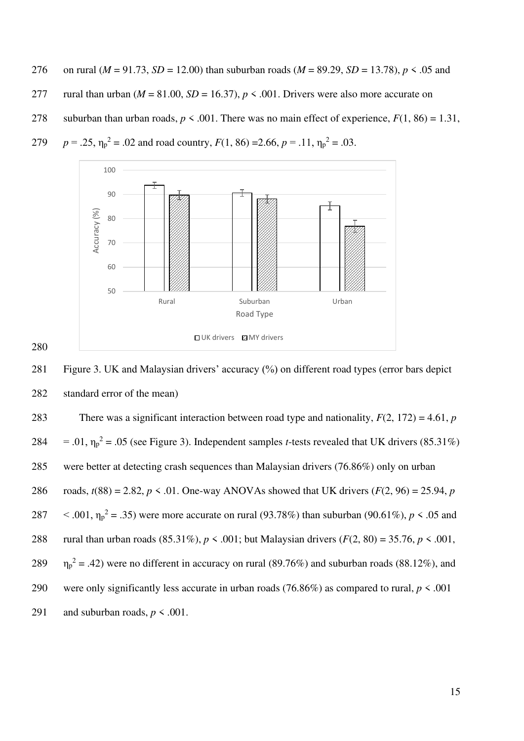- 276 on rural ( $M = 91.73$ ,  $SD = 12.00$ ) than suburban roads ( $M = 89.29$ ,  $SD = 13.78$ ),  $p \le 0.05$  and 277 rural than urban ( $M = 81.00$ ,  $SD = 16.37$ ),  $p < .001$ . Drivers were also more accurate on
- 278 suburban than urban roads,  $p < .001$ . There was no main effect of experience,  $F(1, 86) = 1.31$ ,



279  $p = .25$ ,  $\eta_p^2 = .02$  and road country,  $F(1, 86) = 2.66$ ,  $p = .11$ ,  $\eta_p^2 = .03$ .

281 Figure 3. UK and Malaysian drivers' accuracy (%) on different road types (error bars depict 282 standard error of the mean)

| 283 | There was a significant interaction between road type and nationality, $F(2, 172) = 4.61$ , p                    |
|-----|------------------------------------------------------------------------------------------------------------------|
| 284 | $= .01$ , $\eta_p^2 = .05$ (see Figure 3). Independent samples <i>t</i> -tests revealed that UK drivers (85.31%) |
| 285 | were better at detecting crash sequences than Malaysian drivers (76.86%) only on urban                           |
| 286 | roads, $t(88) = 2.82$ , $p \le 0.01$ . One-way ANOVAs showed that UK drivers ( $F(2, 96) = 25.94$ , p            |
| 287 | $\leq$ .001, $\eta_p^2$ = .35) were more accurate on rural (93.78%) than suburban (90.61%), p $\leq$ .05 and     |
| 288 | rural than urban roads (85.31%), $p < .001$ ; but Malaysian drivers ( $F(2, 80) = 35.76$ , $p < .001$ ,          |
| 289 | $\eta_p^2$ = .42) were no different in accuracy on rural (89.76%) and suburban roads (88.12%), and               |
| 290 | were only significantly less accurate in urban roads (76.86%) as compared to rural, $p \le 0.001$                |
| 291 | and suburban roads, $p \leq .001$ .                                                                              |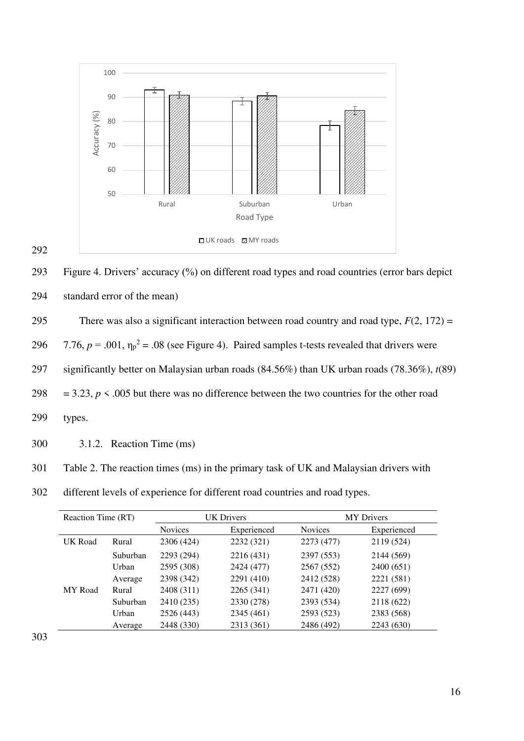

293 Figure 4. Drivers' accuracy (%) on different road types and road countries (error bars depict 294 standard error of the mean)

295 There was also a significant interaction between road country and road type,  $F(2, 172) =$ 

296  $7.76$ ,  $p = .001$ ,  $\eta_p^2 = .08$  (see Figure 4). Paired samples t-tests revealed that drivers were

297 significantly better on Malaysian urban roads (84.56%) than UK urban roads (78.36%), *t*(89)

298 = 3.23,  $p \le 0.005$  but there was no difference between the two countries for the other road

299 types.

292

300 3.1.2. Reaction Time (ms)

| 301 | Table 2. The reaction times (ms) in the primary task of UK and Malaysian drivers with |  |  |  |  |
|-----|---------------------------------------------------------------------------------------|--|--|--|--|
|     |                                                                                       |  |  |  |  |

302 different levels of experience for different road countries and road types.

| Reaction Time (RT) |          |                | <b>UK Drivers</b> |                | <b>MY</b> Drivers |  |  |
|--------------------|----------|----------------|-------------------|----------------|-------------------|--|--|
|                    |          | <b>Novices</b> | Experienced       | <b>Novices</b> | Experienced       |  |  |
| <b>UK Road</b>     | Rural    | 2306 (424)     | 2232 (321)        | 2273 (477)     | 2119 (524)        |  |  |
|                    | Suburban | 2293 (294)     | 2216 (431)        | 2397 (553)     | 2144 (569)        |  |  |
|                    | Urban    | 2595 (308)     | 2424 (477)        | 2567 (552)     | 2400 (651)        |  |  |
|                    | Average  | 2398 (342)     | 2291 (410)        | 2412 (528)     | 2221 (581)        |  |  |
| <b>MY</b> Road     | Rural    | 2408 (311)     | 2265 (341)        | 2471 (420)     | 2227 (699)        |  |  |
|                    | Suburban | 2410 (235)     | 2330 (278)        | 2393 (534)     | 2118 (622)        |  |  |
|                    | Urban    | 2526 (443)     | 2345 (461)        | 2593 (523)     | 2383 (568)        |  |  |
|                    | Average  | 2448 (330)     | 2313 (361)        | 2486 (492)     | 2243 (630)        |  |  |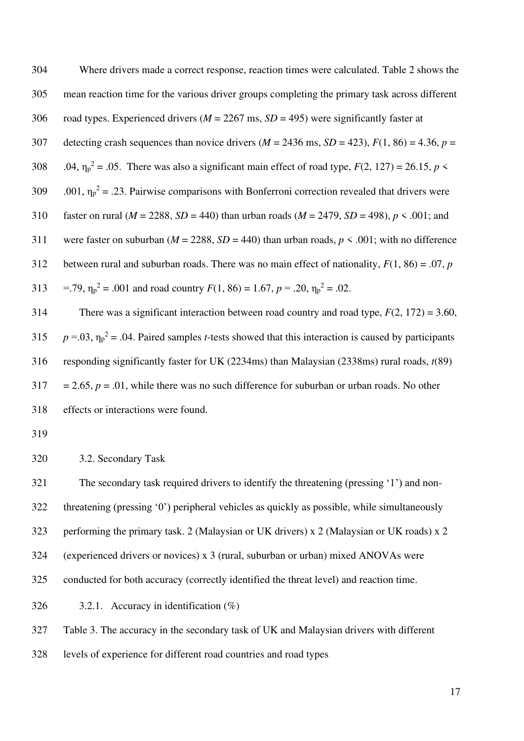304 Where drivers made a correct response, reaction times were calculated. Table 2 shows the 305 mean reaction time for the various driver groups completing the primary task across different 306 road types. Experienced drivers (*M* = 2267 ms, *SD* = 495) were significantly faster at 307 detecting crash sequences than novice drivers  $(M = 2436 \text{ ms}, SD = 423)$ ,  $F(1, 86) = 4.36$ ,  $p =$ 308 .04,  $\eta_p^2 = 0.05$ . There was also a significant main effect of road type,  $F(2, 127) = 26.15$ ,  $p \le$ 309 .001,  $\eta_p^2 = 0.23$ . Pairwise comparisons with Bonferroni correction revealed that drivers were 310 faster on rural (*M* = 2288, *SD* = 440) than urban roads (*M* = 2479, *SD* = 498), *p* < .001; and 311 were faster on suburban ( $M = 2288$ ,  $SD = 440$ ) than urban roads,  $p \le .001$ ; with no difference 312 between rural and suburban roads. There was no main effect of nationality,  $F(1, 86) = .07$ , *p* 313 = .79,  $\eta_p^2$  = .001 and road country  $F(1, 86) = 1.67$ ,  $p = .20$ ,  $\eta_p^2 = .02$ .

314 There was a significant interaction between road country and road type, *F*(2, 172) = 3.60, 315  $p = .03$ ,  $\eta_p^2 = .04$ . Paired samples *t*-tests showed that this interaction is caused by participants 316 responding significantly faster for UK (2234ms) than Malaysian (2338ms) rural roads, *t*(89)  $317 = 2.65$ ,  $p = .01$ , while there was no such difference for suburban or urban roads. No other 318 effects or interactions were found.

319

320 3.2. Secondary Task

321 The secondary task required drivers to identify the threatening (pressing '1') and non-322 threatening (pressing '0') peripheral vehicles as quickly as possible, while simultaneously 323 performing the primary task. 2 (Malaysian or UK drivers) x 2 (Malaysian or UK roads) x 2 324 (experienced drivers or novices) x 3 (rural, suburban or urban) mixed ANOVAs were 325 conducted for both accuracy (correctly identified the threat level) and reaction time. 326 3.2.1. Accuracy in identification  $(\%)$ 

327 Table 3. The accuracy in the secondary task of UK and Malaysian drivers with different

328 levels of experience for different road countries and road types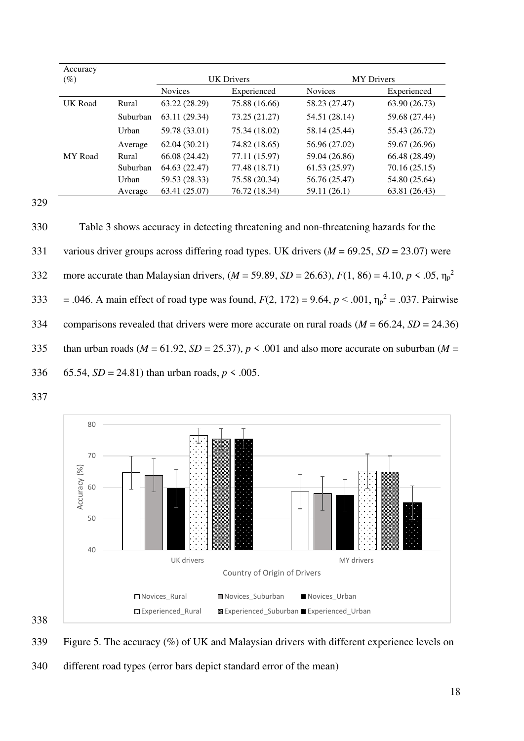| Accuracy       |          |                |                   |                   |               |
|----------------|----------|----------------|-------------------|-------------------|---------------|
| $(\%)$         |          |                | <b>UK Drivers</b> | <b>MY</b> Drivers |               |
|                |          | <b>Novices</b> | Experienced       | <b>Novices</b>    | Experienced   |
| <b>UK Road</b> | Rural    | 63.22 (28.29)  | 75.88 (16.66)     | 58.23 (27.47)     | 63.90 (26.73) |
|                | Suburban | 63.11 (29.34)  | 73.25 (21.27)     | 54.51 (28.14)     | 59.68 (27.44) |
|                | Urban    | 59.78 (33.01)  | 75.34 (18.02)     | 58.14 (25.44)     | 55.43 (26.72) |
|                | Average  | 62.04(30.21)   | 74.82 (18.65)     | 56.96 (27.02)     | 59.67 (26.96) |
| <b>MY</b> Road | Rural    | 66.08 (24.42)  | 77.11 (15.97)     | 59.04 (26.86)     | 66.48 (28.49) |
|                | Suburban | 64.63 (22.47)  | 77.48 (18.71)     | 61.53(25.97)      | 70.16 (25.15) |
|                | Urban    | 59.53 (28.33)  | 75.58 (20.34)     | 56.76 (25.47)     | 54.80 (25.64) |
|                | Average  | 63.41 (25.07)  | 76.72 (18.34)     | 59.11 (26.1)      | 63.81 (26.43) |

330 Table 3 shows accuracy in detecting threatening and non-threatening hazards for the 331 various driver groups across differing road types. UK drivers (*M* = 69.25, *SD* = 23.07) were more accurate than Malaysian drivers,  $(M = 59.89, SD = 26.63)$ ,  $F(1, 86) = 4.10, p < .05, \eta_p^2$ 332 333 = .046. A main effect of road type was found,  $F(2, 172) = 9.64$ ,  $p < .001$ ,  $\eta_p^2 = .037$ . Pairwise 334 comparisons revealed that drivers were more accurate on rural roads  $(M = 66.24, SD = 24.36)$ 335 than urban roads ( $M = 61.92$ ,  $SD = 25.37$ ),  $p < .001$  and also more accurate on suburban ( $M =$ 336 65.54,  $SD = 24.81$  than urban roads,  $p \le 0.005$ .

337



338

339 Figure 5. The accuracy (%) of UK and Malaysian drivers with different experience levels on

340 different road types (error bars depict standard error of the mean)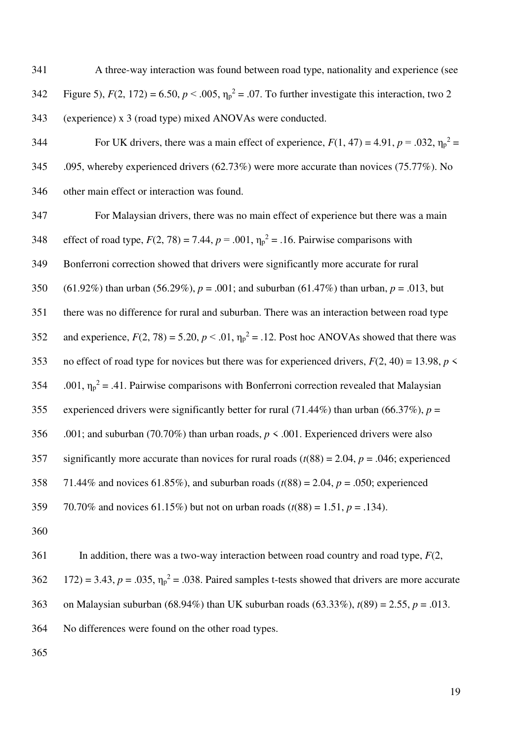341 A three-way interaction was found between road type, nationality and experience (see  $5$ ),  $F(2, 172) = 6.50$ ,  $p < .005$ ,  $\eta_p^2 = .07$ . To further investigate this interaction, two 2 343 (experience) x 3 (road type) mixed ANOVAs were conducted.

For UK drivers, there was a main effect of experience,  $F(1, 47) = 4.91$ ,  $p = .032$ ,  $\eta_p^2 =$ 345 .095, whereby experienced drivers (62.73%) were more accurate than novices (75.77%). No 346 other main effect or interaction was found.

347 For Malaysian drivers, there was no main effect of experience but there was a main 348 effect of road type,  $F(2, 78) = 7.44$ ,  $p = .001$ ,  $\eta_p^2 = .16$ . Pairwise comparisons with 349 Bonferroni correction showed that drivers were significantly more accurate for rural 350 (61.92%) than urban (56.29%), *p* = .001; and suburban (61.47%) than urban, *p* = .013, but 351 there was no difference for rural and suburban. There was an interaction between road type 352 and experience,  $F(2, 78) = 5.20$ ,  $p < .01$ ,  $\eta_p^2 = .12$ . Post hoc ANOVAs showed that there was 353 no effect of road type for novices but there was for experienced drivers,  $F(2, 40) = 13.98$ ,  $p \le$ 354 .001,  $\eta_p^2 = .41$ . Pairwise comparisons with Bonferroni correction revealed that Malaysian 355 experienced drivers were significantly better for rural (71.44%) than urban (66.37%),  $p =$ 356 .001; and suburban (70.70%) than urban roads, *p* < .001. Experienced drivers were also 357 significantly more accurate than novices for rural roads (*t*(88) = 2.04, *p* = .046; experienced 358 71.44% and novices 61.85%), and suburban roads (*t*(88) = 2.04, *p* = .050; experienced 359 70.70% and novices 61.15%) but not on urban roads (*t*(88) = 1.51, *p* = .134).

360

361 In addition, there was a two-way interaction between road country and road type, *F*(2,  $172$ ) = 3.43,  $p = .035$ ,  $\eta_p^2 = .038$ . Paired samples t-tests showed that drivers are more accurate 363 on Malaysian suburban (68.94%) than UK suburban roads (63.33%), *t*(89) = 2.55, *p* = .013. 364 No differences were found on the other road types.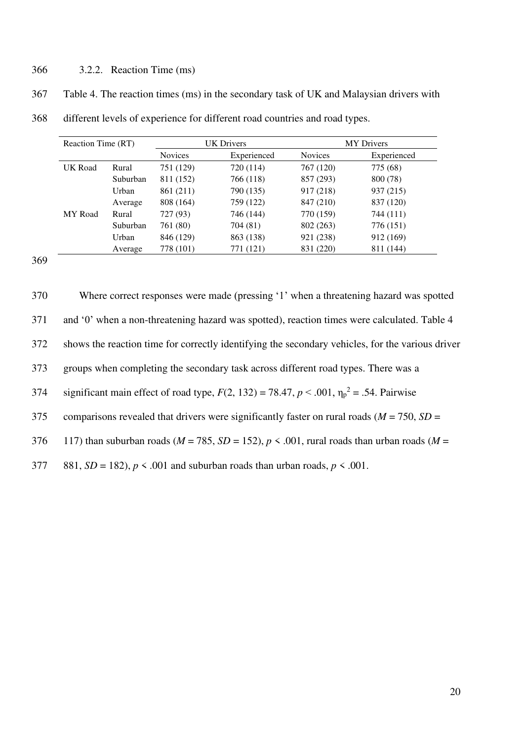# 366 3.2.2. Reaction Time (ms)

| 367 | Table 4. The reaction times (ms) in the secondary task of UK and Malaysian drivers with |  |  |  |
|-----|-----------------------------------------------------------------------------------------|--|--|--|
|     |                                                                                         |  |  |  |

| Reaction Time (RT) |          | <b>UK Drivers</b> |             | <b>MY</b> Drivers |             |
|--------------------|----------|-------------------|-------------|-------------------|-------------|
|                    |          | <b>Novices</b>    | Experienced | <b>Novices</b>    | Experienced |
| UK Road            | Rural    | 751 (129)         | 720 (114)   | 767 (120)         | 775 (68)    |
|                    | Suburban | 811 (152)         | 766 (118)   | 857 (293)         | 800 (78)    |
|                    | Urban    | 861 (211)         | 790 (135)   | 917 (218)         | 937 (215)   |
|                    | Average  | 808 (164)         | 759 (122)   | 847 (210)         | 837 (120)   |
| <b>MY</b> Road     | Rural    | 727 (93)          | 746 (144)   | 770 (159)         | 744 (111)   |
|                    | Suburban | 761 (80)          | 704 (81)    | 802 (263)         | 776 (151)   |
|                    | Urban    | 846 (129)         | 863 (138)   | 921 (238)         | 912 (169)   |
|                    | Average  | 778 (101)         | 771 (121)   | 831 (220)         | 811 (144)   |

368 different levels of experience for different road countries and road types.

| 370 | Where correct responses were made (pressing '1' when a threatening hazard was spotted                     |
|-----|-----------------------------------------------------------------------------------------------------------|
| 371 | and '0' when a non-threatening hazard was spotted), reaction times were calculated. Table 4               |
| 372 | shows the reaction time for correctly identifying the secondary vehicles, for the various driver          |
| 373 | groups when completing the secondary task across different road types. There was a                        |
| 374 | significant main effect of road type, $F(2, 132) = 78.47$ , $p < .001$ , $\eta_p^2 = .54$ . Pairwise      |
| 375 | comparisons revealed that drivers were significantly faster on rural roads ( $M = 750$ , $SD =$           |
| 376 | 117) than suburban roads ( $M = 785$ , $SD = 152$ ), $p \le 0.001$ , rural roads than urban roads ( $M =$ |
| 377 | 881, $SD = 182$ , $p \le 0.001$ and suburban roads than urban roads, $p \le 0.001$ .                      |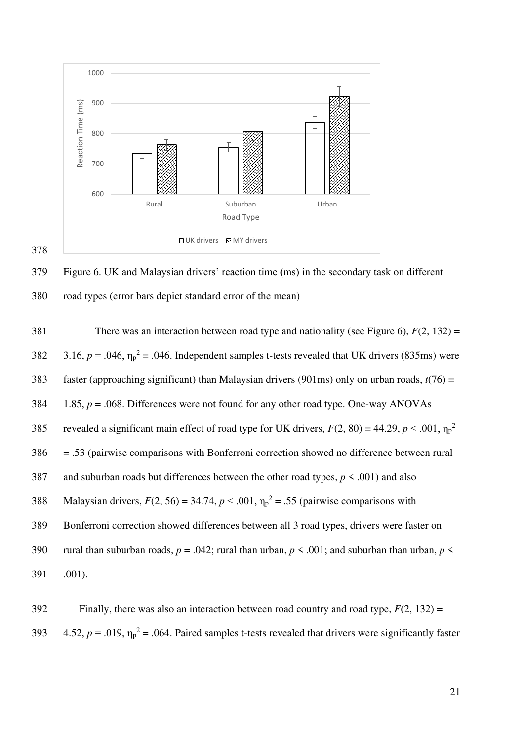

379 Figure 6. UK and Malaysian drivers' reaction time (ms) in the secondary task on different 380 road types (error bars depict standard error of the mean)

381 There was an interaction between road type and nationality (see Figure 6), *F*(2, 132) = 382  $3.16, p = .046, \eta_p^2 = .046$ . Independent samples t-tests revealed that UK drivers (835ms) were 383 faster (approaching significant) than Malaysian drivers (901ms) only on urban roads, *t*(76) = 384 1.85, *p* = .068. Differences were not found for any other road type. One-way ANOVAs revealed a significant main effect of road type for UK drivers,  $F(2, 80) = 44.29$ ,  $p < .001$ ,  $\eta_p^2$ 385 386 = .53 (pairwise comparisons with Bonferroni correction showed no difference between rural 387 and suburban roads but differences between the other road types, *p* < .001) and also 388 Malaysian drivers,  $F(2, 56) = 34.74$ ,  $p < .001$ ,  $\eta_p^2 = .55$  (pairwise comparisons with 389 Bonferroni correction showed differences between all 3 road types, drivers were faster on 390 rural than suburban roads,  $p = .042$ ; rural than urban,  $p \le .001$ ; and suburban than urban,  $p \le$ 391 .001).

392 Finally, there was also an interaction between road country and road type, *F*(2, 132) = 393  $4.52$ ,  $p = .019$ ,  $\eta_p^2 = .064$ . Paired samples t-tests revealed that drivers were significantly faster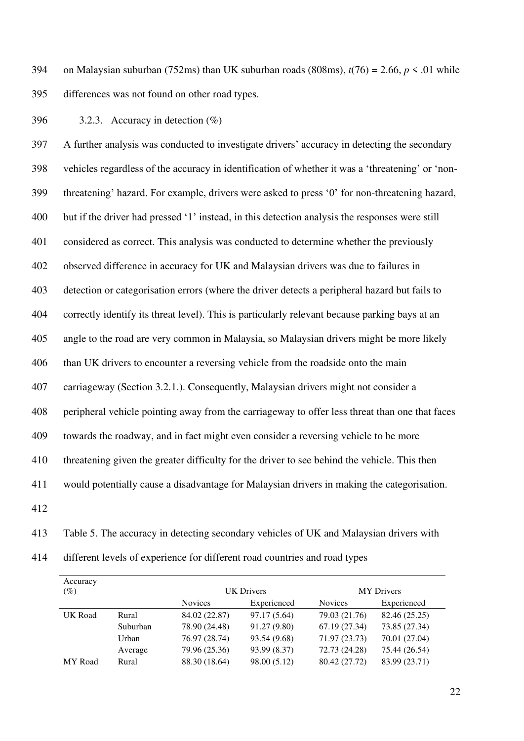394 on Malaysian suburban (752ms) than UK suburban roads (808ms),  $t(76) = 2.66$ ,  $p \le 0.01$  while 395 differences was not found on other road types.

396 3.2.3. Accuracy in detection  $(\% )$ 

397 A further analysis was conducted to investigate drivers' accuracy in detecting the secondary 398 vehicles regardless of the accuracy in identification of whether it was a 'threatening' or 'non-399 threatening' hazard. For example, drivers were asked to press '0' for non-threatening hazard, 400 but if the driver had pressed '1' instead, in this detection analysis the responses were still 401 considered as correct. This analysis was conducted to determine whether the previously 402 observed difference in accuracy for UK and Malaysian drivers was due to failures in 403 detection or categorisation errors (where the driver detects a peripheral hazard but fails to 404 correctly identify its threat level). This is particularly relevant because parking bays at an 405 angle to the road are very common in Malaysia, so Malaysian drivers might be more likely 406 than UK drivers to encounter a reversing vehicle from the roadside onto the main 407 carriageway (Section 3.2.1.). Consequently, Malaysian drivers might not consider a 408 peripheral vehicle pointing away from the carriageway to offer less threat than one that faces 409 towards the roadway, and in fact might even consider a reversing vehicle to be more 410 threatening given the greater difficulty for the driver to see behind the vehicle. This then 411 would potentially cause a disadvantage for Malaysian drivers in making the categorisation. 412

413 Table 5. The accuracy in detecting secondary vehicles of UK and Malaysian drivers with

414 different levels of experience for different road countries and road types

| Accuracy<br>$(\%)$ |          |                | <b>UK</b> Drivers | <b>MY</b> Drivers |               |  |
|--------------------|----------|----------------|-------------------|-------------------|---------------|--|
|                    |          | <b>Novices</b> | Experienced       | <b>Novices</b>    | Experienced   |  |
| UK Road            | Rural    | 84.02 (22.87)  | 97.17 (5.64)      | 79.03 (21.76)     | 82.46 (25.25) |  |
|                    | Suburban | 78.90 (24.48)  | 91.27 (9.80)      | 67.19 (27.34)     | 73.85 (27.34) |  |
|                    | Urban    | 76.97 (28.74)  | 93.54 (9.68)      | 71.97 (23.73)     | 70.01 (27.04) |  |
|                    | Average  | 79.96 (25.36)  | 93.99 (8.37)      | 72.73 (24.28)     | 75.44 (26.54) |  |
| MY Road            | Rural    | 88.30 (18.64)  | 98.00 (5.12)      | 80.42 (27.72)     | 83.99 (23.71) |  |
|                    |          |                |                   |                   |               |  |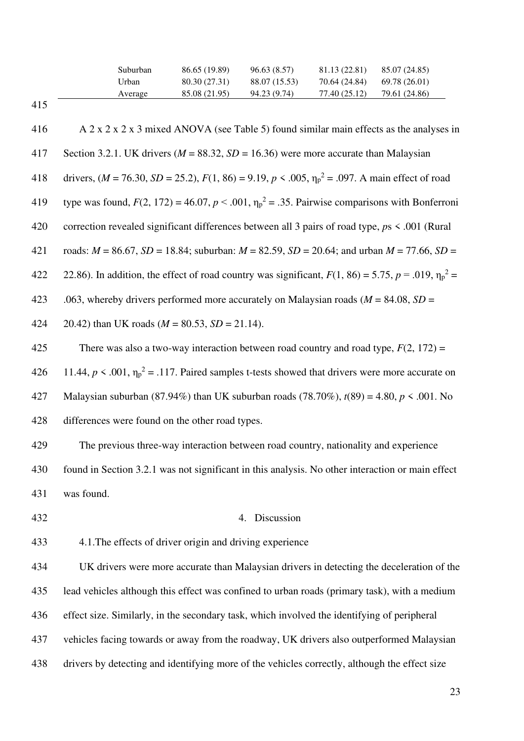| Suburban | 86.65 (19.89) | 96.63 (8.57)  | 81.13 (22.81) | 85.07 (24.85) |
|----------|---------------|---------------|---------------|---------------|
| Urban    | 80.30 (27.31) | 88.07 (15.53) | 70.64 (24.84) | 69.78 (26.01) |
| Average  | 85.08 (21.95) | 94.23 (9.74)  | 77.40 (25.12) | 79.61 (24.86) |

23 416 A 2 x 2 x 2 x 3 mixed ANOVA (see Table 5) found similar main effects as the analyses in 417 Section 3.2.1. UK drivers ( $M = 88.32$ ,  $SD = 16.36$ ) were more accurate than Malaysian 418 drivers,  $(M = 76.30, SD = 25.2), F(1, 86) = 9.19, p < .005, \eta_p^2 = .097$ . A main effect of road 419 type was found,  $F(2, 172) = 46.07$ ,  $p < .001$ ,  $\eta_p^2 = .35$ . Pairwise comparisons with Bonferroni 420 correction revealed significant differences between all 3 pairs of road type, *p*s < .001 (Rural 421 roads: *M* = 86.67, *SD* = 18.84; suburban: *M* = 82.59, *SD* = 20.64; and urban *M* = 77.66, *SD* = 422 22.86). In addition, the effect of road country was significant,  $F(1, 86) = 5.75$ ,  $p = .019$ ,  $\eta_p^2 =$ 423 .063, whereby drivers performed more accurately on Malaysian roads (*M* = 84.08, *SD* = 424 20.42) than UK roads  $(M = 80.53, SD = 21.14)$ . 425 There was also a two-way interaction between road country and road type, *F*(2, 172) = 426 11.44,  $p < .001$ ,  $\eta_p^2 = .117$ . Paired samples t-tests showed that drivers were more accurate on 427 Malaysian suburban (87.94%) than UK suburban roads (78.70%), *t*(89) = 4.80, *p* < .001. No 428 differences were found on the other road types. 429 The previous three-way interaction between road country, nationality and experience 430 found in Section 3.2.1 was not significant in this analysis. No other interaction or main effect 431 was found. 432 4. Discussion 433 4.1.The effects of driver origin and driving experience 434 UK drivers were more accurate than Malaysian drivers in detecting the deceleration of the 435 lead vehicles although this effect was confined to urban roads (primary task), with a medium 436 effect size. Similarly, in the secondary task, which involved the identifying of peripheral 437 vehicles facing towards or away from the roadway, UK drivers also outperformed Malaysian 438 drivers by detecting and identifying more of the vehicles correctly, although the effect size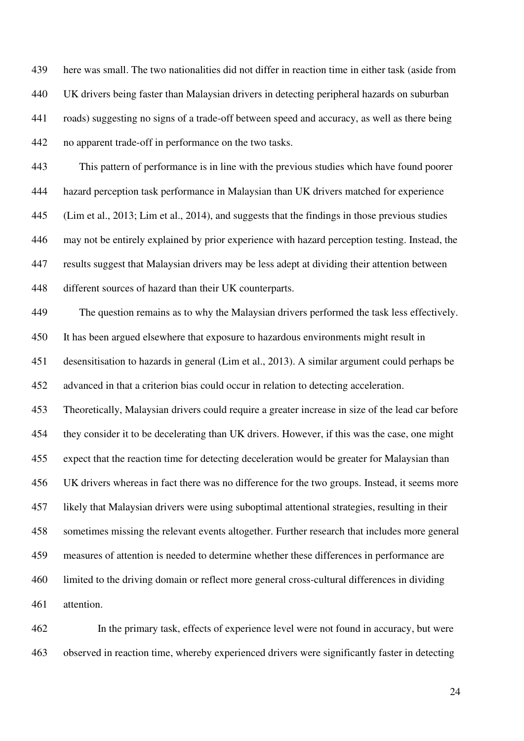439 here was small. The two nationalities did not differ in reaction time in either task (aside from 440 UK drivers being faster than Malaysian drivers in detecting peripheral hazards on suburban 441 roads) suggesting no signs of a trade-off between speed and accuracy, as well as there being 442 no apparent trade-off in performance on the two tasks.

443 This pattern of performance is in line with the previous studies which have found poorer 444 hazard perception task performance in Malaysian than UK drivers matched for experience 445 (Lim et al., 2013; Lim et al., 2014), and suggests that the findings in those previous studies 446 may not be entirely explained by prior experience with hazard perception testing. Instead, the 447 results suggest that Malaysian drivers may be less adept at dividing their attention between 448 different sources of hazard than their UK counterparts.

449 The question remains as to why the Malaysian drivers performed the task less effectively. 450 It has been argued elsewhere that exposure to hazardous environments might result in 451 desensitisation to hazards in general (Lim et al., 2013). A similar argument could perhaps be 452 advanced in that a criterion bias could occur in relation to detecting acceleration. 453 Theoretically, Malaysian drivers could require a greater increase in size of the lead car before 454 they consider it to be decelerating than UK drivers. However, if this was the case, one might 455 expect that the reaction time for detecting deceleration would be greater for Malaysian than 456 UK drivers whereas in fact there was no difference for the two groups. Instead, it seems more 457 likely that Malaysian drivers were using suboptimal attentional strategies, resulting in their 458 sometimes missing the relevant events altogether. Further research that includes more general 459 measures of attention is needed to determine whether these differences in performance are 460 limited to the driving domain or reflect more general cross-cultural differences in dividing 461 attention.

462 In the primary task, effects of experience level were not found in accuracy, but were 463 observed in reaction time, whereby experienced drivers were significantly faster in detecting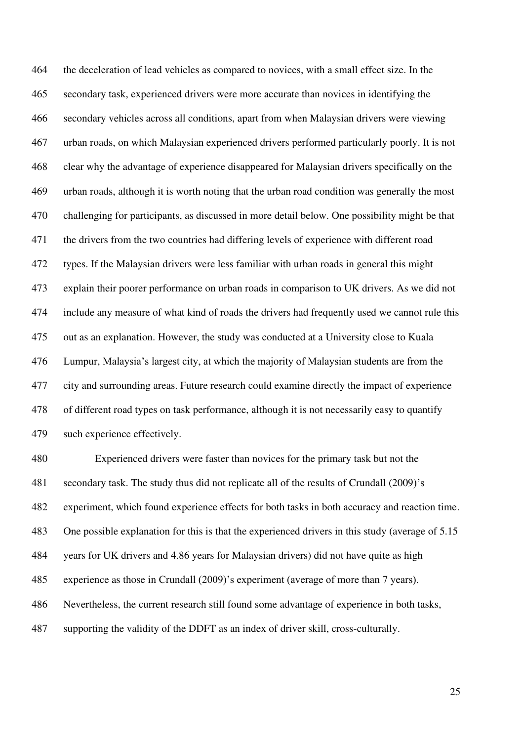464 the deceleration of lead vehicles as compared to novices, with a small effect size. In the 465 secondary task, experienced drivers were more accurate than novices in identifying the 466 secondary vehicles across all conditions, apart from when Malaysian drivers were viewing 467 urban roads, on which Malaysian experienced drivers performed particularly poorly. It is not 468 clear why the advantage of experience disappeared for Malaysian drivers specifically on the 469 urban roads, although it is worth noting that the urban road condition was generally the most 470 challenging for participants, as discussed in more detail below. One possibility might be that 471 the drivers from the two countries had differing levels of experience with different road 472 types. If the Malaysian drivers were less familiar with urban roads in general this might 473 explain their poorer performance on urban roads in comparison to UK drivers. As we did not 474 include any measure of what kind of roads the drivers had frequently used we cannot rule this 475 out as an explanation. However, the study was conducted at a University close to Kuala 476 Lumpur, Malaysia's largest city, at which the majority of Malaysian students are from the 477 city and surrounding areas. Future research could examine directly the impact of experience 478 of different road types on task performance, although it is not necessarily easy to quantify 479 such experience effectively.

480 Experienced drivers were faster than novices for the primary task but not the 481 secondary task. The study thus did not replicate all of the results of Crundall (2009)'s 482 experiment, which found experience effects for both tasks in both accuracy and reaction time. 483 One possible explanation for this is that the experienced drivers in this study (average of 5.15 484 years for UK drivers and 4.86 years for Malaysian drivers) did not have quite as high 485 experience as those in Crundall (2009)'s experiment (average of more than 7 years). 486 Nevertheless, the current research still found some advantage of experience in both tasks, 487 supporting the validity of the DDFT as an index of driver skill, cross-culturally.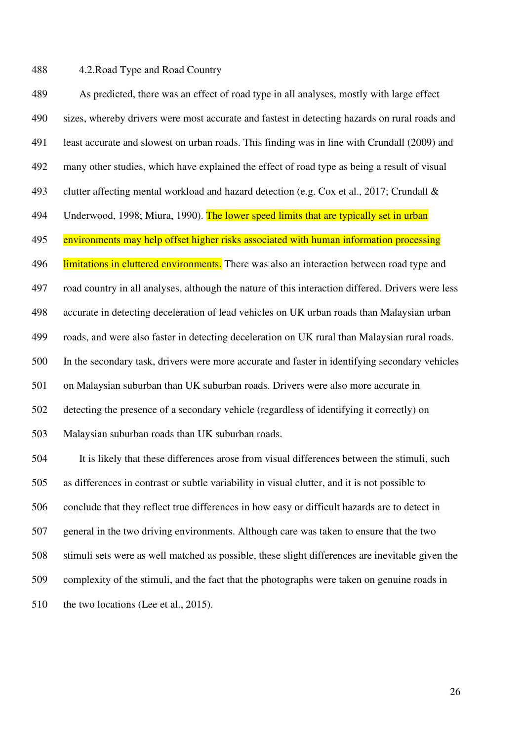## 488 4.2.Road Type and Road Country

489 As predicted, there was an effect of road type in all analyses, mostly with large effect 490 sizes, whereby drivers were most accurate and fastest in detecting hazards on rural roads and 491 least accurate and slowest on urban roads. This finding was in line with Crundall (2009) and 492 many other studies, which have explained the effect of road type as being a result of visual 493 clutter affecting mental workload and hazard detection (e.g. Cox et al., 2017; Crundall & 494 Underwood, 1998; Miura, 1990). The lower speed limits that are typically set in urban 495 environments may help offset higher risks associated with human information processing 496 limitations in cluttered environments. There was also an interaction between road type and 497 road country in all analyses, although the nature of this interaction differed. Drivers were less 498 accurate in detecting deceleration of lead vehicles on UK urban roads than Malaysian urban 499 roads, and were also faster in detecting deceleration on UK rural than Malaysian rural roads. 500 In the secondary task, drivers were more accurate and faster in identifying secondary vehicles 501 on Malaysian suburban than UK suburban roads. Drivers were also more accurate in 502 detecting the presence of a secondary vehicle (regardless of identifying it correctly) on 503 Malaysian suburban roads than UK suburban roads. 504 It is likely that these differences arose from visual differences between the stimuli, such 505 as differences in contrast or subtle variability in visual clutter, and it is not possible to 506 conclude that they reflect true differences in how easy or difficult hazards are to detect in

507 general in the two driving environments. Although care was taken to ensure that the two

509 complexity of the stimuli, and the fact that the photographs were taken on genuine roads in

508 stimuli sets were as well matched as possible, these slight differences are inevitable given the

510 the two locations (Lee et al., 2015).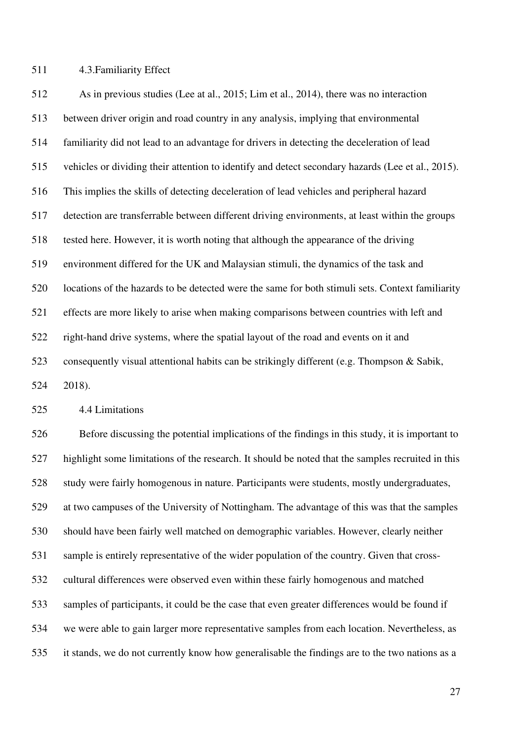511 4.3.Familiarity Effect

512 As in previous studies (Lee at al., 2015; Lim et al., 2014), there was no interaction 513 between driver origin and road country in any analysis, implying that environmental 514 familiarity did not lead to an advantage for drivers in detecting the deceleration of lead 515 vehicles or dividing their attention to identify and detect secondary hazards (Lee et al., 2015). 516 This implies the skills of detecting deceleration of lead vehicles and peripheral hazard 517 detection are transferrable between different driving environments, at least within the groups 518 tested here. However, it is worth noting that although the appearance of the driving 519 environment differed for the UK and Malaysian stimuli, the dynamics of the task and 520 locations of the hazards to be detected were the same for both stimuli sets. Context familiarity 521 effects are more likely to arise when making comparisons between countries with left and 522 right-hand drive systems, where the spatial layout of the road and events on it and 523 consequently visual attentional habits can be strikingly different (e.g. Thompson & Sabik,

524 2018).

525 4.4 Limitations

526 Before discussing the potential implications of the findings in this study, it is important to 527 highlight some limitations of the research. It should be noted that the samples recruited in this 528 study were fairly homogenous in nature. Participants were students, mostly undergraduates, 529 at two campuses of the University of Nottingham. The advantage of this was that the samples 530 should have been fairly well matched on demographic variables. However, clearly neither 531 sample is entirely representative of the wider population of the country. Given that cross-532 cultural differences were observed even within these fairly homogenous and matched 533 samples of participants, it could be the case that even greater differences would be found if 534 we were able to gain larger more representative samples from each location. Nevertheless, as 535 it stands, we do not currently know how generalisable the findings are to the two nations as a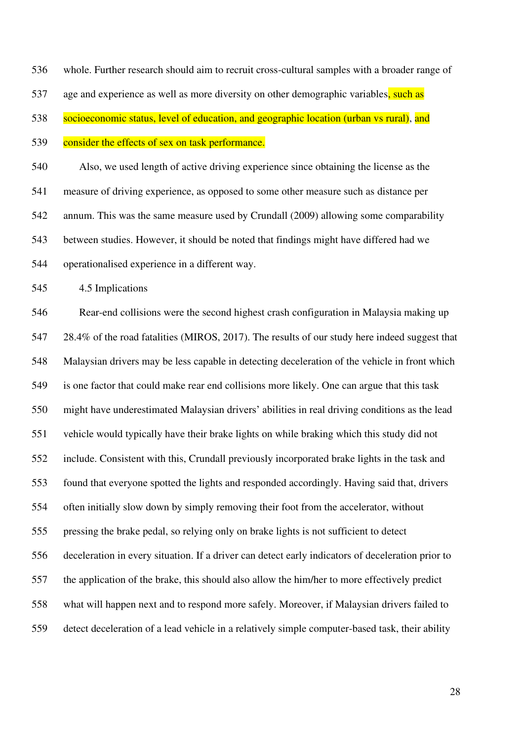536 whole. Further research should aim to recruit cross-cultural samples with a broader range of

537 age and experience as well as more diversity on other demographic variables, such as

538 socioeconomic status, level of education, and geographic location (urban vs rural), and

539 consider the effects of sex on task performance.

540 Also, we used length of active driving experience since obtaining the license as the 541 measure of driving experience, as opposed to some other measure such as distance per 542 annum. This was the same measure used by Crundall (2009) allowing some comparability 543 between studies. However, it should be noted that findings might have differed had we 544 operationalised experience in a different way.

545 4.5 Implications

546 Rear-end collisions were the second highest crash configuration in Malaysia making up 547 28.4% of the road fatalities (MIROS, 2017). The results of our study here indeed suggest that 548 Malaysian drivers may be less capable in detecting deceleration of the vehicle in front which 549 is one factor that could make rear end collisions more likely. One can argue that this task 550 might have underestimated Malaysian drivers' abilities in real driving conditions as the lead 551 vehicle would typically have their brake lights on while braking which this study did not 552 include. Consistent with this, Crundall previously incorporated brake lights in the task and 553 found that everyone spotted the lights and responded accordingly. Having said that, drivers 554 often initially slow down by simply removing their foot from the accelerator, without 555 pressing the brake pedal, so relying only on brake lights is not sufficient to detect 556 deceleration in every situation. If a driver can detect early indicators of deceleration prior to 557 the application of the brake, this should also allow the him/her to more effectively predict 558 what will happen next and to respond more safely. Moreover, if Malaysian drivers failed to 559 detect deceleration of a lead vehicle in a relatively simple computer-based task, their ability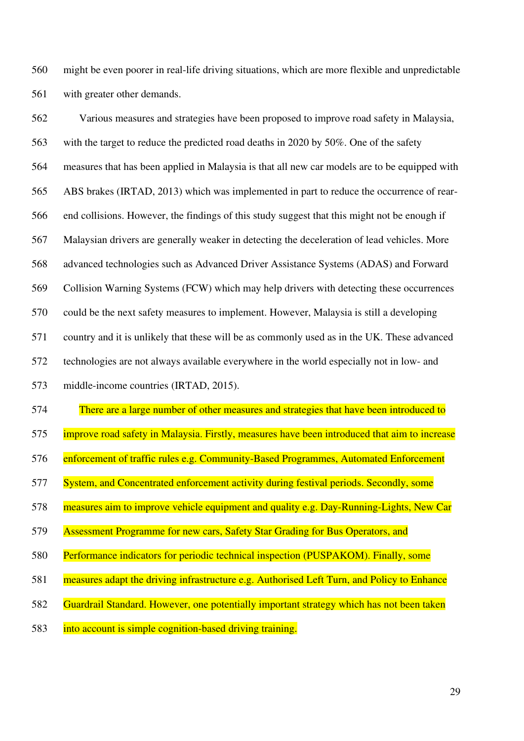560 might be even poorer in real-life driving situations, which are more flexible and unpredictable 561 with greater other demands.

562 Various measures and strategies have been proposed to improve road safety in Malaysia, 563 with the target to reduce the predicted road deaths in 2020 by 50%. One of the safety 564 measures that has been applied in Malaysia is that all new car models are to be equipped with 565 ABS brakes (IRTAD, 2013) which was implemented in part to reduce the occurrence of rear-566 end collisions. However, the findings of this study suggest that this might not be enough if 567 Malaysian drivers are generally weaker in detecting the deceleration of lead vehicles. More 568 advanced technologies such as Advanced Driver Assistance Systems (ADAS) and Forward 569 Collision Warning Systems (FCW) which may help drivers with detecting these occurrences 570 could be the next safety measures to implement. However, Malaysia is still a developing 571 country and it is unlikely that these will be as commonly used as in the UK. These advanced 572 technologies are not always available everywhere in the world especially not in low- and

- 573 middle-income countries (IRTAD, 2015).
- 574 There are a large number of other measures and strategies that have been introduced to
- 575 improve road safety in Malaysia. Firstly, measures have been introduced that aim to increase
- 576 enforcement of traffic rules e.g. Community-Based Programmes, Automated Enforcement
- 577 System, and Concentrated enforcement activity during festival periods. Secondly, some
- 578 measures aim to improve vehicle equipment and quality e.g. Day-Running-Lights, New Car
- 579 Assessment Programme for new cars, Safety Star Grading for Bus Operators, and
- 580 Performance indicators for periodic technical inspection (PUSPAKOM). Finally, some
- 581 measures adapt the driving infrastructure e.g. Authorised Left Turn, and Policy to Enhance
- 582 Guardrail Standard. However, one potentially important strategy which has not been taken
- 583 into account is simple cognition-based driving training.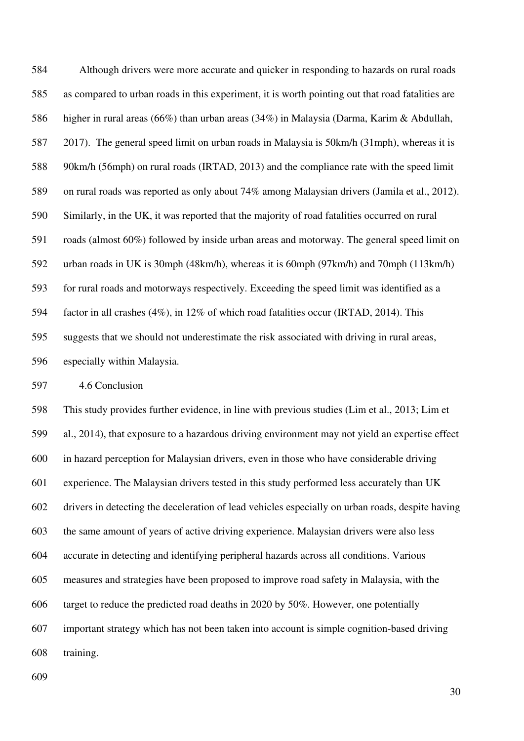584 Although drivers were more accurate and quicker in responding to hazards on rural roads 585 as compared to urban roads in this experiment, it is worth pointing out that road fatalities are 586 higher in rural areas (66%) than urban areas (34%) in Malaysia (Darma, Karim & Abdullah, 587 2017). The general speed limit on urban roads in Malaysia is 50km/h (31mph), whereas it is 588 90km/h (56mph) on rural roads (IRTAD, 2013) and the compliance rate with the speed limit 589 on rural roads was reported as only about 74% among Malaysian drivers (Jamila et al., 2012). 590 Similarly, in the UK, it was reported that the majority of road fatalities occurred on rural 591 roads (almost 60%) followed by inside urban areas and motorway. The general speed limit on 592 urban roads in UK is 30mph (48km/h), whereas it is 60mph (97km/h) and 70mph (113km/h) 593 for rural roads and motorways respectively. Exceeding the speed limit was identified as a 594 factor in all crashes (4%), in 12% of which road fatalities occur (IRTAD, 2014). This 595 suggests that we should not underestimate the risk associated with driving in rural areas, 596 especially within Malaysia.

597 4.6 Conclusion

598 This study provides further evidence, in line with previous studies (Lim et al., 2013; Lim et 599 al., 2014), that exposure to a hazardous driving environment may not yield an expertise effect 600 in hazard perception for Malaysian drivers, even in those who have considerable driving 601 experience. The Malaysian drivers tested in this study performed less accurately than UK 602 drivers in detecting the deceleration of lead vehicles especially on urban roads, despite having 603 the same amount of years of active driving experience. Malaysian drivers were also less 604 accurate in detecting and identifying peripheral hazards across all conditions. Various 605 measures and strategies have been proposed to improve road safety in Malaysia, with the 606 target to reduce the predicted road deaths in 2020 by 50%. However, one potentially 607 important strategy which has not been taken into account is simple cognition-based driving 608 training.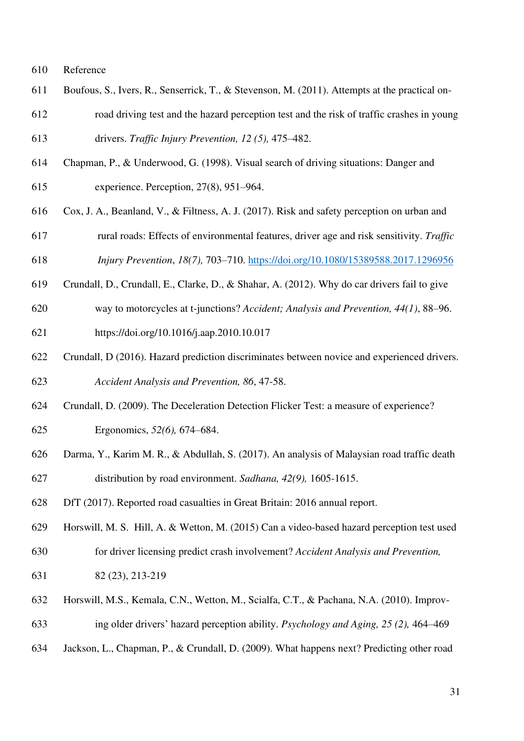- 610 Reference
- 611 Boufous, S., Ivers, R., Senserrick, T., & Stevenson, M. (2011). Attempts at the practical on-612 road driving test and the hazard perception test and the risk of traffic crashes in young
- 613 drivers. *Traffic Injury Prevention, 12 (5),* 475–482.
- 614 Chapman, P., & Underwood, G. (1998). Visual search of driving situations: Danger and 615 experience. Perception, 27(8), 951–964.
- 616 Cox, J. A., Beanland, V., & Filtness, A. J. (2017). Risk and safety perception on urban and 617 rural roads: Effects of environmental features, driver age and risk sensitivity. *Traffic*

618 *Injury Prevention*, *18(7),* 703–710.<https://doi.org/10.1080/15389588.2017.1296956>

- 619 Crundall, D., Crundall, E., Clarke, D., & Shahar, A. (2012). Why do car drivers fail to give
- 620 way to motorcycles at t-junctions? *Accident; Analysis and Prevention, 44(1)*, 88–96.
- 621 https://doi.org/10.1016/j.aap.2010.10.017
- 622 Crundall, D (2016). Hazard prediction discriminates between novice and experienced drivers. 623 *Accident Analysis and Prevention, 86*, 47-58.
- 624 Crundall, D. (2009). The Deceleration Detection Flicker Test: a measure of experience?
- 625 Ergonomics, *52(6),* 674–684.
- 626 Darma, Y., Karim M. R., & Abdullah, S. (2017). An analysis of Malaysian road traffic death 627 distribution by road environment. *Sadhana, 42(9),* 1605-1615.
- 628 DfT (2017). Reported road casualties in Great Britain: 2016 annual report.
- 629 Horswill, M. S. Hill, A. & Wetton, M. (2015) Can a video-based hazard perception test used 630 for driver licensing predict crash involvement? *Accident Analysis and Prevention,*
- 631 82 (23), 213-219
- 632 Horswill, M.S., Kemala, C.N., Wetton, M., Scialfa, C.T., & Pachana, N.A. (2010). Improv-633 ing older drivers' hazard perception ability. *Psychology and Aging, 25 (2),* 464–469
- 634 Jackson, L., Chapman, P., & Crundall, D. (2009). What happens next? Predicting other road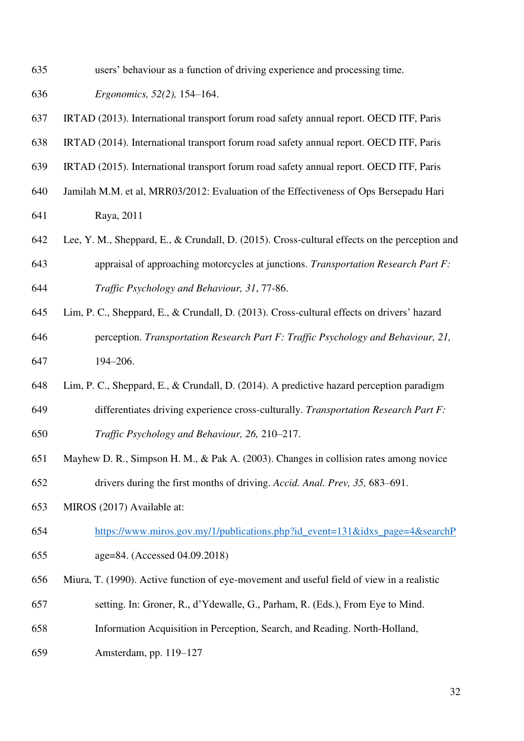- 635 users' behaviour as a function of driving experience and processing time.
- 636 *Ergonomics, 52(2),* 154–164.
- 637 IRTAD (2013). International transport forum road safety annual report. OECD ITF, Paris
- 638 IRTAD (2014). International transport forum road safety annual report. OECD ITF, Paris
- 639 IRTAD (2015). International transport forum road safety annual report. OECD ITF, Paris
- 640 Jamilah M.M. et al, MRR03/2012: Evaluation of the Effectiveness of Ops Bersepadu Hari

641 Raya, 2011

- 642 Lee, Y. M., Sheppard, E., & Crundall, D. (2015). Cross-cultural effects on the perception and 643 appraisal of approaching motorcycles at junctions. *Transportation Research Part F:*  644 *Traffic Psychology and Behaviour, 31*, 77-86.
- 645 Lim, P. C., Sheppard, E., & Crundall, D. (2013). Cross-cultural effects on drivers' hazard 646 perception. *Transportation Research Part F: Traffic Psychology and Behaviour, 21,* 647 194–206.
- 648 Lim, P. C., Sheppard, E., & Crundall, D. (2014). A predictive hazard perception paradigm 649 differentiates driving experience cross-culturally. *Transportation Research Part F:*
- 650 *Traffic Psychology and Behaviour, 26,* 210–217.
- 651 Mayhew D. R., Simpson H. M., & Pak A. (2003). Changes in collision rates among novice 652 drivers during the first months of driving. *Accid. Anal. Prev, 35,* 683–691.
- 653 MIROS (2017) Available at:
- 654 [https://www.miros.gov.my/1/publications.php?id\\_event=131&idxs\\_page=4&searchP](https://www.miros.gov.my/1/publications.php?id_event=131&idxs_page=4&searchP)
- 655 age=84. (Accessed 04.09.2018)
- 656 Miura, T. (1990). Active function of eye-movement and useful field of view in a realistic
- 657 setting. In: Groner, R., d'Ydewalle, G., Parham, R. (Eds.), From Eye to Mind.
- 658 Information Acquisition in Perception, Search, and Reading. North-Holland,
- 659 Amsterdam, pp. 119–127